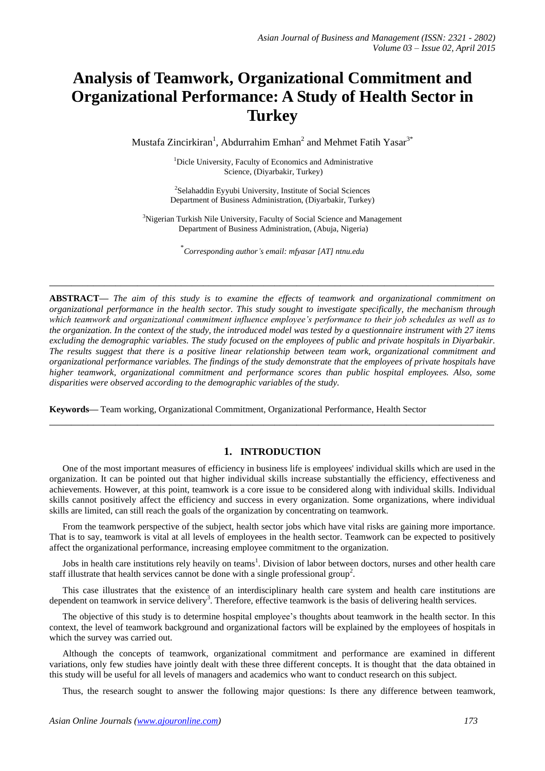# **Analysis of Teamwork, Organizational Commitment and Organizational Performance: A Study of Health Sector in Turkey**

Mustafa Zincirkiran<sup>1</sup>, Abdurrahim Emhan<sup>2</sup> and Mehmet Fatih Yasar<sup>3\*</sup>

<sup>1</sup>Dicle University, Faculty of Economics and Administrative Science, (Diyarbakir, Turkey)

<sup>2</sup>Selahaddin Eyyubi University, Institute of Social Sciences Department of Business Administration, (Diyarbakir, Turkey)

<sup>3</sup>Nigerian Turkish Nile University, Faculty of Social Science and Management Department of Business Administration, (Abuja, Nigeria)

\* *Corresponding author's email: mfyasar [\[AT\] ntnu.edu](mailto:mfyasar@ntnu.edu)*

**\_\_\_\_\_\_\_\_\_\_\_\_\_\_\_\_\_\_\_\_\_\_\_\_\_\_\_\_\_\_\_\_\_\_\_\_\_\_\_\_\_\_\_\_\_\_\_\_\_\_\_\_\_\_\_\_\_\_\_\_\_\_\_\_\_\_\_\_\_\_\_\_\_\_\_\_\_\_\_\_\_**

**ABSTRACT—** *The aim of this study is to examine the effects of teamwork and organizational commitment on organizational performance in the health sector. This study sought to investigate specifically, the mechanism through which teamwork and organizational commitment influence employee's performance to their job schedules as well as to the organization. In the context of the study, the introduced model was tested by a questionnaire instrument with 27 items excluding the demographic variables. The study focused on the employees of public and private hospitals in Diyarbakir. The results suggest that there is a positive linear relationship between team work, organizational commitment and organizational performance variables. The findings of the study demonstrate that the employees of private hospitals have higher teamwork, organizational commitment and performance scores than public hospital employees. Also, some disparities were observed according to the demographic variables of the study.* 

**Keywords—** Team working, Organizational Commitment, Organizational Performance, Health Sector

#### **1. INTRODUCTION**

**\_\_\_\_\_\_\_\_\_\_\_\_\_\_\_\_\_\_\_\_\_\_\_\_\_\_\_\_\_\_\_\_\_\_\_\_\_\_\_\_\_\_\_\_\_\_\_\_\_\_\_\_\_\_\_\_\_\_\_\_\_\_\_\_\_\_\_\_\_\_\_\_\_\_\_\_\_\_\_\_\_**

One of the most important measures of efficiency in business life is employees' individual skills which are used in the organization. It can be pointed out that higher individual skills increase substantially the efficiency, effectiveness and achievements. However, at this point, teamwork is a core issue to be considered along with individual skills. Individual skills cannot positively affect the efficiency and success in every organization. Some organizations, where individual skills are limited, can still reach the goals of the organization by concentrating on teamwork.

From the teamwork perspective of the subject, health sector jobs which have vital risks are gaining more importance. That is to say, teamwork is vital at all levels of employees in the health sector. Teamwork can be expected to positively affect the organizational performance, increasing employee commitment to the organization.

Jobs in health care institutions rely heavily on teams<sup>1</sup>. Division of labor between doctors, nurses and other health care staff illustrate that health services cannot be done with a single professional group<sup>2</sup>.

This case illustrates that the existence of an interdisciplinary health care system and health care institutions are dependent on teamwork in service delivery<sup>3</sup>. Therefore, effective teamwork is the basis of delivering health services.

The objective of this study is to determine hospital employee's thoughts about teamwork in the health sector. In this context, the level of teamwork background and organizational factors will be explained by the employees of hospitals in which the survey was carried out.

Although the concepts of teamwork, organizational commitment and performance are examined in different variations, only few studies have jointly dealt with these three different concepts. It is thought that the data obtained in this study will be useful for all levels of managers and academics who want to conduct research on this subject.

Thus, the research sought to answer the following major questions: Is there any difference between teamwork,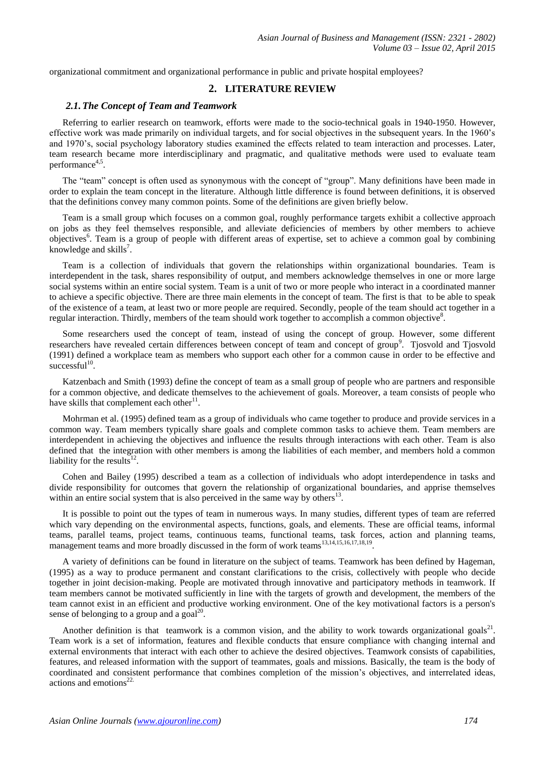organizational commitment and organizational performance in public and private hospital employees?

## **2. LITERATURE REVIEW**

#### *2.1.The Concept of Team and Teamwork*

Referring to earlier research on teamwork, efforts were made to the socio-technical goals in 1940-1950. However, effective work was made primarily on individual targets, and for social objectives in the subsequent years. In the 1960's and 1970's, social psychology laboratory studies examined the effects related to team interaction and processes. Later, team research became more interdisciplinary and pragmatic, and qualitative methods were used to evaluate team performance<sup>4,5</sup>.

The "team" concept is often used as synonymous with the concept of "group". Many definitions have been made in order to explain the team concept in the literature. Although little difference is found between definitions, it is observed that the definitions convey many common points. Some of the definitions are given briefly below.

Team is a small group which focuses on a common goal, roughly performance targets exhibit a collective approach on jobs as they feel themselves responsible, and alleviate deficiencies of members by other members to achieve objectives<sup>6</sup>. Team is a group of people with different areas of expertise, set to achieve a common goal by combining knowledge and skills<sup>7</sup>.

Team is a collection of individuals that govern the relationships within organizational boundaries. Team is interdependent in the task, shares responsibility of output, and members acknowledge themselves in one or more large social systems within an entire social system. Team is a unit of two or more people who interact in a coordinated manner to achieve a specific objective. There are three main elements in the concept of team. The first is that to be able to speak of the existence of a team, at least two or more people are required. Secondly, people of the team should act together in a regular interaction. Thirdly, members of the team should work together to accomplish a common objective<sup>8</sup>.

Some researchers used the concept of team, instead of using the concept of group. However, some different researchers have revealed certain differences between concept of team and concept of group<sup>9</sup>. Tjosvold and Tjosvold (1991) defined a workplace team as members who support each other for a common cause in order to be effective and  $successful<sup>10</sup>$ .

Katzenbach and Smith (1993) define the concept of team as a small group of people who are partners and responsible for a common objective, and dedicate themselves to the achievement of goals. Moreover, a team consists of people who have skills that complement each other<sup>11</sup>.

Mohrman et al. (1995) defined team as a group of individuals who came together to produce and provide services in a common way. Team members typically share goals and complete common tasks to achieve them. Team members are interdependent in achieving the objectives and influence the results through interactions with each other. Team is also defined that the integration with other members is among the liabilities of each member, and members hold a common liability for the results $12$ .

Cohen and Bailey (1995) described a team as a collection of individuals who adopt interdependence in tasks and divide responsibility for outcomes that govern the relationship of organizational boundaries, and apprise themselves within an entire social system that is also perceived in the same way by others $13$ .

It is possible to point out the types of team in numerous ways. In many studies, different types of team are referred which vary depending on the environmental aspects, functions, goals, and elements. These are official teams, informal teams, parallel teams, project teams, continuous teams, functional teams, task forces, action and planning teams, management teams and more broadly discussed in the form of work teams<sup>13,14,15,16,17,18,19</sup>.

A variety of definitions can be found in literature on the subject of teams. Teamwork has been defined by Hageman, (1995) as a way to produce permanent and constant clarifications to the crisis, collectively with people who decide together in joint decision-making. People are motivated through innovative and participatory methods in teamwork. If team members cannot be motivated sufficiently in line with the targets of growth and development, the members of the team cannot exist in an efficient and productive working environment. One of the key motivational factors is a person's sense of belonging to a group and a goal $^{20}$ .

Another definition is that teamwork is a common vision, and the ability to work towards organizational goals<sup>21</sup>. Team work is a set of information, features and flexible conducts that ensure compliance with changing internal and external environments that interact with each other to achieve the desired objectives. Teamwork consists of capabilities, features, and released information with the support of teammates, goals and missions. Basically, the team is the body of coordinated and consistent performance that combines completion of the mission's objectives, and interrelated ideas, actions and emotions<sup>22.</sup>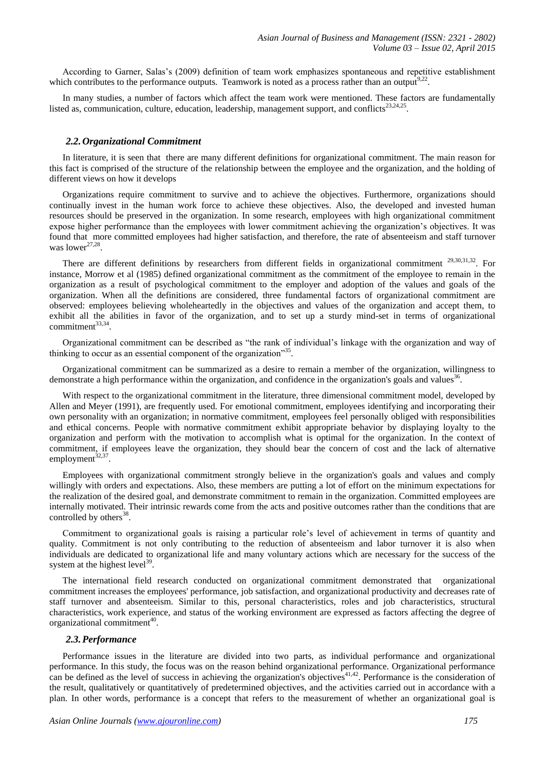According to Garner, Salas's (2009) definition of team work emphasizes spontaneous and repetitive establishment which contributes to the performance outputs. Teamwork is noted as a process rather than an output $^{9,22}$ .

In many studies, a number of factors which affect the team work were mentioned. These factors are fundamentally listed as, communication, culture, education, leadership, management support, and conflicts $^{23,24,25}$ .

#### *2.2.Organizational Commitment*

In literature, it is seen that there are many different definitions for organizational commitment. The main reason for this fact is comprised of the structure of the relationship between the employee and the organization, and the holding of different views on how it develops

Organizations require commitment to survive and to achieve the objectives. Furthermore, organizations should continually invest in the human work force to achieve these objectives. Also, the developed and invested human resources should be preserved in the organization. In some research, employees with high organizational commitment expose higher performance than the employees with lower commitment achieving the organization's objectives. It was found that more committed employees had higher satisfaction, and therefore, the rate of absenteeism and staff turnover was lower $27,28$ .

There are different definitions by researchers from different fields in organizational commitment  $29,30,31,32$ . For instance, Morrow et al (1985) defined organizational commitment as the commitment of the employee to remain in the organization as a result of psychological commitment to the employer and adoption of the values and goals of the organization. When all the definitions are considered, three fundamental factors of organizational commitment are observed: employees believing wholeheartedly in the objectives and values of the organization and accept them, to exhibit all the abilities in favor of the organization, and to set up a sturdy mind-set in terms of organizational commitment<sup>33,34</sup> .

Organizational commitment can be described as "the rank of individual's linkage with the organization and way of thinking to occur as an essential component of the organization"<sup>35</sup>.

Organizational commitment can be summarized as a desire to remain a member of the organization, willingness to demonstrate a high performance within the organization, and confidence in the organization's goals and values<sup>36</sup>.

With respect to the organizational commitment in the literature, three dimensional commitment model, developed by Allen and Meyer (1991), are frequently used. For emotional commitment, employees identifying and incorporating their own personality with an organization; in normative commitment, employees feel personally obliged with responsibilities and ethical concerns. People with normative commitment exhibit appropriate behavior by displaying loyalty to the organization and perform with the motivation to accomplish what is optimal for the organization. In the context of commitment, if employees leave the organization, they should bear the concern of cost and the lack of alternative employment $^{32,37}$ .

Employees with organizational commitment strongly believe in the organization's goals and values and comply willingly with orders and expectations. Also, these members are putting a lot of effort on the minimum expectations for the realization of the desired goal, and demonstrate commitment to remain in the organization. Committed employees are internally motivated. Their intrinsic rewards come from the acts and positive outcomes rather than the conditions that are controlled by others $38$ .

Commitment to organizational goals is raising a particular role's level of achievement in terms of quantity and quality. Commitment is not only contributing to the reduction of absenteeism and labor turnover it is also when individuals are dedicated to organizational life and many voluntary actions which are necessary for the success of the system at the highest level<sup>39</sup>.

The international field research conducted on organizational commitment demonstrated that organizational commitment increases the employees' performance, job satisfaction, and organizational productivity and decreases rate of staff turnover and absenteeism. Similar to this, personal characteristics, roles and job characteristics, structural characteristics, work experience, and status of the working environment are expressed as factors affecting the degree of organizational commitment<sup>40</sup>.

#### *2.3.Performance*

Performance issues in the literature are divided into two parts, as individual performance and organizational performance. In this study, the focus was on the reason behind organizational performance. Organizational performance can be defined as the level of success in achieving the organization's objectives<sup>41,42</sup>. Performance is the consideration of the result, qualitatively or quantitatively of predetermined objectives, and the activities carried out in accordance with a plan. In other words, performance is a concept that refers to the measurement of whether an organizational goal is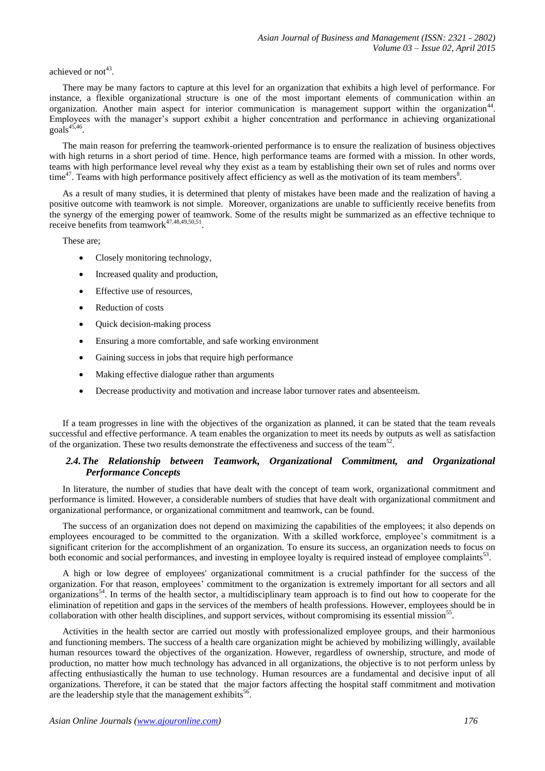## achieved or not<sup>43</sup>.

There may be many factors to capture at this level for an organization that exhibits a high level of performance. For instance, a flexible organizational structure is one of the most important elements of communication within an organization. Another main aspect for interior communication is management support within the organization<sup>44</sup>. Employees with the manager's support exhibit a higher concentration and performance in achieving organizational  $\overline{\text{goals}}^{45,46}$ .

The main reason for preferring the teamwork-oriented performance is to ensure the realization of business objectives with high returns in a short period of time. Hence, high performance teams are formed with a mission. In other words, teams with high performance level reveal why they exist as a team by establishing their own set of rules and norms over time<sup>47</sup>. Teams with high performance positively affect efficiency as well as the motivation of its team members<sup>8</sup>.

As a result of many studies, it is determined that plenty of mistakes have been made and the realization of having a positive outcome with teamwork is not simple. Moreover, organizations are unable to sufficiently receive benefits from the synergy of the emerging power of teamwork. Some of the results might be summarized as an effective technique to receive benefits from teamwork $47,48,49,50,51$ .

These are;

- Closely monitoring technology,
- Increased quality and production,
- Effective use of resources,
- Reduction of costs
- Quick decision-making process
- Ensuring a more comfortable, and safe working environment
- Gaining success in jobs that require high performance
- Making effective dialogue rather than arguments
- Decrease productivity and motivation and increase labor turnover rates and absenteeism.

If a team progresses in line with the objectives of the organization as planned, it can be stated that the team reveals successful and effective performance. A team enables the organization to meet its needs by outputs as well as satisfaction of the organization. These two results demonstrate the effectiveness and success of the team<sup>52</sup>.

## 2.4. The Relationship between Teamwork, Organizational Commitment, and Organizational *Performance Concepts*

In literature, the number of studies that have dealt with the concept of team work, organizational commitment and performance is limited. However, a considerable numbers of studies that have dealt with organizational commitment and organizational performance, or organizational commitment and teamwork, can be found.

The success of an organization does not depend on maximizing the capabilities of the employees; it also depends on employees encouraged to be committed to the organization. With a skilled workforce, employee's commitment is a significant criterion for the accomplishment of an organization. To ensure its success, an organization needs to focus on both economic and social performances, and investing in employee loyalty is required instead of employee complaints<sup>53</sup>.

A high or low degree of employees' organizational commitment is a crucial pathfinder for the success of the organization. For that reason, employees' commitment to the organization is extremely important for all sectors and all organizations<sup>54</sup>. In terms of the health sector, a multidisciplinary team approach is to find out how to cooperate for the elimination of repetition and gaps in the services of the members of health professions. However, employees should be in collaboration with other health disciplines, and support services, without compromising its essential mission<sup>55</sup>.

Activities in the health sector are carried out mostly with professionalized employee groups, and their harmonious and functioning members. The success of a health care organization might be achieved by mobilizing willingly, available human resources toward the objectives of the organization. However, regardless of ownership, structure, and mode of production, no matter how much technology has advanced in all organizations, the objective is to not perform unless by affecting enthusiastically the human to use technology. Human resources are a fundamental and decisive input of all organizations. Therefore, it can be stated that the major factors affecting the hospital staff commitment and motivation are the leadership style that the management exhibits<sup>56</sup>.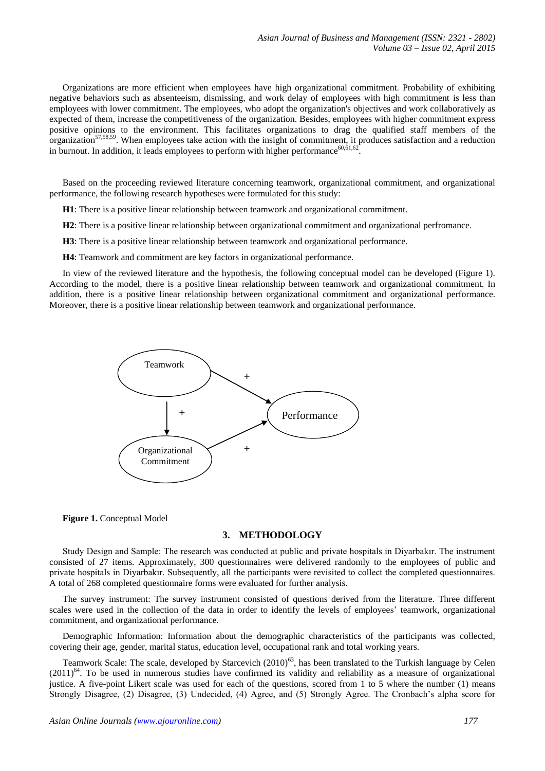Organizations are more efficient when employees have high organizational commitment. Probability of exhibiting negative behaviors such as absenteeism, dismissing, and work delay of employees with high commitment is less than employees with lower commitment. The employees, who adopt the organization's objectives and work collaboratively as expected of them, increase the competitiveness of the organization. Besides, employees with higher commitment express positive opinions to the environment. This facilitates organizations to drag the qualified staff members of the organization<sup>57,58,59</sup>. When employees take action with the insight of commitment, it produces satisfaction and a reduction in burnout. In addition, it leads employees to perform with higher performance<sup>60,61,62</sup>.

Based on the proceeding reviewed literature concerning teamwork, organizational commitment, and organizational performance, the following research hypotheses were formulated for this study:

**H1**: There is a positive linear relationship between teamwork and organizational commitment.

**H2**: There is a positive linear relationship between organizational commitment and organizational perfromance.

**H3**: There is a positive linear relationship between teamwork and organizational performance.

**H4**: Teamwork and commitment are key factors in organizational performance.

In view of the reviewed literature and the hypothesis, the following conceptual model can be developed (Figure 1). According to the model, there is a positive linear relationship between teamwork and organizational commitment. In addition, there is a positive linear relationship between organizational commitment and organizational performance. Moreover, there is a positive linear relationship between teamwork and organizational performance.



**Figure 1.** Conceptual Model

## **3. METHODOLOGY**

Study Design and Sample: The research was conducted at public and private hospitals in Diyarbakır. The instrument consisted of 27 items. Approximately, 300 questionnaires were delivered randomly to the employees of public and private hospitals in Diyarbakır. Subsequently, all the participants were revisited to collect the completed questionnaires. A total of 268 completed questionnaire forms were evaluated for further analysis.

The survey instrument: The survey instrument consisted of questions derived from the literature. Three different scales were used in the collection of the data in order to identify the levels of employees' teamwork, organizational commitment, and organizational performance.

Demographic Information: Information about the demographic characteristics of the participants was collected, covering their age, gender, marital status, education level, occupational rank and total working years.

Teamwork Scale: The scale, developed by Starcevich  $(2010)^{63}$ , has been translated to the Turkish language by Celen  $(2011)^{64}$ . To be used in numerous studies have confirmed its validity and reliability as a measure of organizational justice. A five-point Likert scale was used for each of the questions, scored from 1 to 5 where the number (1) means Strongly Disagree, (2) Disagree, (3) Undecided, (4) Agree, and (5) Strongly Agree. The Cronbach's alpha score for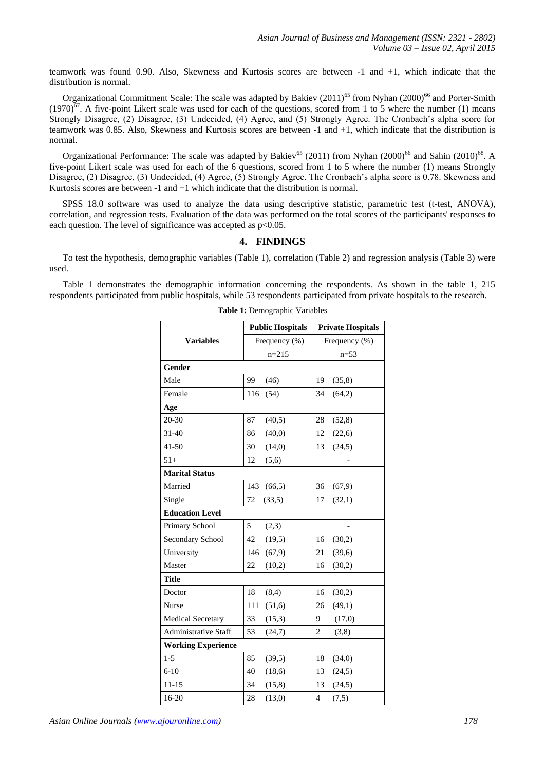teamwork was found 0.90. Also, Skewness and Kurtosis scores are between -1 and +1, which indicate that the distribution is normal.

Organizational Commitment Scale: The scale was adapted by Bakiev (2011)<sup>65</sup> from Nyhan (2000)<sup>66</sup> and Porter-Smith  $(1970)^{67}$ . A five-point Likert scale was used for each of the questions, scored from 1 to 5 where the number (1) means Strongly Disagree, (2) Disagree, (3) Undecided, (4) Agree, and (5) Strongly Agree. The Cronbach's alpha score for teamwork was 0.85. Also, Skewness and Kurtosis scores are between -1 and +1, which indicate that the distribution is normal.

Organizational Performance: The scale was adapted by Bakiev<sup>65</sup> (2011) from Nyhan (2000)<sup>66</sup> and Sahin (2010)<sup>68</sup>. A five-point Likert scale was used for each of the 6 questions, scored from 1 to 5 where the number (1) means Strongly Disagree, (2) Disagree, (3) Undecided, (4) Agree, (5) Strongly Agree. The Cronbach's alpha score is 0.78. Skewness and Kurtosis scores are between -1 and +1 which indicate that the distribution is normal.

SPSS 18.0 software was used to analyze the data using descriptive statistic, parametric test (t-test, ANOVA), correlation, and regression tests. Evaluation of the data was performed on the total scores of the participants' responses to each question. The level of significance was accepted as  $p<0.05$ .

#### **4. FINDINGS**

To test the hypothesis, demographic variables (Table 1), correlation (Table 2) and regression analysis (Table 3) were used.

Table 1 demonstrates the demographic information concerning the respondents. As shown in the table 1, 215 respondents participated from public hospitals, while 53 respondents participated from private hospitals to the research.

|                             | <b>Public Hospitals</b> | <b>Private Hospitals</b> |  |  |
|-----------------------------|-------------------------|--------------------------|--|--|
| <b>Variables</b>            | Frequency (%)           | Frequency (%)            |  |  |
|                             | $n=215$                 | $n=53$                   |  |  |
| Gender                      |                         |                          |  |  |
| Male                        | 99<br>(46)              | 19<br>(35,8)             |  |  |
| Female                      | (54)<br>116             | 34<br>(64,2)             |  |  |
| Age                         |                         |                          |  |  |
| 20-30                       | 87<br>(40,5)            | 28<br>(52, 8)            |  |  |
| $31 - 40$                   | 86<br>(40,0)            | 12<br>(22,6)             |  |  |
| $41 - 50$                   | 30<br>(14,0)            | 13<br>(24,5)             |  |  |
| $51+$                       | 12<br>(5,6)             |                          |  |  |
| <b>Marital Status</b>       |                         |                          |  |  |
| Married                     | 143<br>(66, 5)          | 36<br>(67,9)             |  |  |
| Single                      | 72<br>(33,5)            | 17<br>(32,1)             |  |  |
| <b>Education Level</b>      |                         |                          |  |  |
| Primary School              | 5<br>(2,3)              |                          |  |  |
| Secondary School            | 42<br>(19,5)            | 16<br>(30,2)             |  |  |
| University                  | 146<br>(67,9)           | 21<br>(39,6)             |  |  |
| Master                      | 22<br>(10,2)            | 16<br>(30,2)             |  |  |
| <b>Title</b>                |                         |                          |  |  |
| Doctor                      | 18<br>(8,4)             | 16<br>(30,2)             |  |  |
| <b>Nurse</b>                | 111<br>(51,6)           | 26<br>(49,1)             |  |  |
| <b>Medical Secretary</b>    | 33<br>(15,3)            | 9<br>(17,0)              |  |  |
| <b>Administrative Staff</b> | 53<br>(24,7)            | $\overline{c}$<br>(3,8)  |  |  |
| <b>Working Experience</b>   |                         |                          |  |  |
| $1 - 5$                     | 85<br>(39,5)            | 18<br>(34,0)             |  |  |
| $6 - 10$                    | 40<br>(18,6)            | 13<br>(24,5)             |  |  |
| $11 - 15$                   | 34<br>(15,8)            | 13<br>(24,5)             |  |  |
| 16-20                       | (13,0)<br>28            | $\overline{4}$<br>(7,5)  |  |  |

**Table 1:** Demographic Variables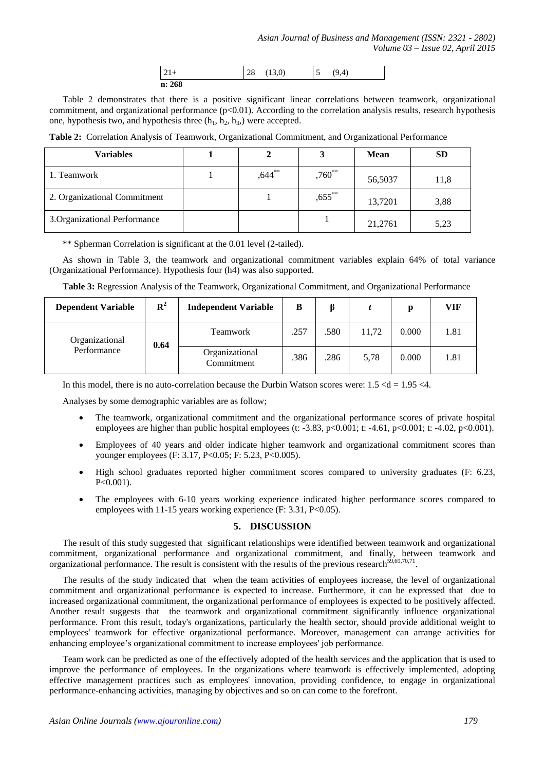| $ 21+$ | $28$ (13,0) | $\overline{5}$ | (9.4) |
|--------|-------------|----------------|-------|
| n: 268 |             |                |       |

Table 2 demonstrates that there is a positive significant linear correlations between teamwork, organizational commitment, and organizational performance  $(p<0.01)$ . According to the correlation analysis results, research hypothesis one, hypothesis two, and hypothesis three  $(h_1, h_2, h_3)$  were accepted.

**Table 2:** Correlation Analysis of Teamwork, Organizational Commitment, and Organizational Performance

| <b>Variables</b>              |           |             | <b>Mean</b> | <b>SD</b> |
|-------------------------------|-----------|-------------|-------------|-----------|
| 1. Teamwork                   | $,644$ ** | $,760^{**}$ | 56,5037     | 11,8      |
| 2. Organizational Commitment  |           | $,655$ **   | 13,7201     | 3,88      |
| 3. Organizational Performance |           |             | 21,2761     | 5,23      |

\*\* Spherman Correlation is significant at the 0.01 level (2-tailed).

As shown in Table 3, the teamwork and organizational commitment variables explain 64% of total variance (Organizational Performance). Hypothesis four (h4) was also supported.

| Table 3: Regression Analysis of the Teamwork, Organizational Commitment, and Organizational Performance |
|---------------------------------------------------------------------------------------------------------|
|---------------------------------------------------------------------------------------------------------|

| <b>Dependent Variable</b>     | ${\bf R}^2$ | <b>Independent Variable</b>  | B    |      |       | р     | VIF  |
|-------------------------------|-------------|------------------------------|------|------|-------|-------|------|
| Organizational<br>Performance | 0.64        | <b>Teamwork</b>              | .257 | .580 | 11,72 | 0.000 | 1.81 |
|                               |             | Organizational<br>Commitment | .386 | .286 | 5,78  | 0.000 | 1.81 |

In this model, there is no auto-correlation because the Durbin Watson scores were:  $1.5 < d = 1.95 < 4$ .

Analyses by some demographic variables are as follow;

- The teamwork, organizational commitment and the organizational performance scores of private hospital employees are higher than public hospital employees (t:  $-3.83$ ,  $p<0.001$ ; t:  $-4.61$ ,  $p<0.001$ ; t:  $-4.02$ ,  $p<0.001$ ).
- Employees of 40 years and older indicate higher teamwork and organizational commitment scores than younger employees (F: 3.17, P<0.05; F: 5.23, P<0.005).
- High school graduates reported higher commitment scores compared to university graduates (F: 6.23,  $P < 0.001$ ).
- The employees with 6-10 years working experience indicated higher performance scores compared to employees with 11-15 years working experience (F: 3.31, P<0.05).

#### **5. DISCUSSION**

The result of this study suggested that significant relationships were identified between teamwork and organizational commitment, organizational performance and organizational commitment, and finally, between teamwork and organizational performance. The result is consistent with the results of the previous research $^{59,69,70,71}$ .

The results of the study indicated that when the team activities of employees increase, the level of organizational commitment and organizational performance is expected to increase. Furthermore, it can be expressed that due to increased organizational commitment, the organizational performance of employees is expected to be positively affected. Another result suggests that the teamwork and organizational commitment significantly influence organizational performance. From this result, today's organizations, particularly the health sector, should provide additional weight to employees' teamwork for effective organizational performance. Moreover, management can arrange activities for enhancing employee's organizational commitment to increase employees' job performance.

Team work can be predicted as one of the effectively adopted of the health services and the application that is used to improve the performance of employees. In the organizations where teamwork is effectively implemented, adopting effective management practices such as employees' innovation, providing confidence, to engage in organizational performance-enhancing activities, managing by objectives and so on can come to the forefront.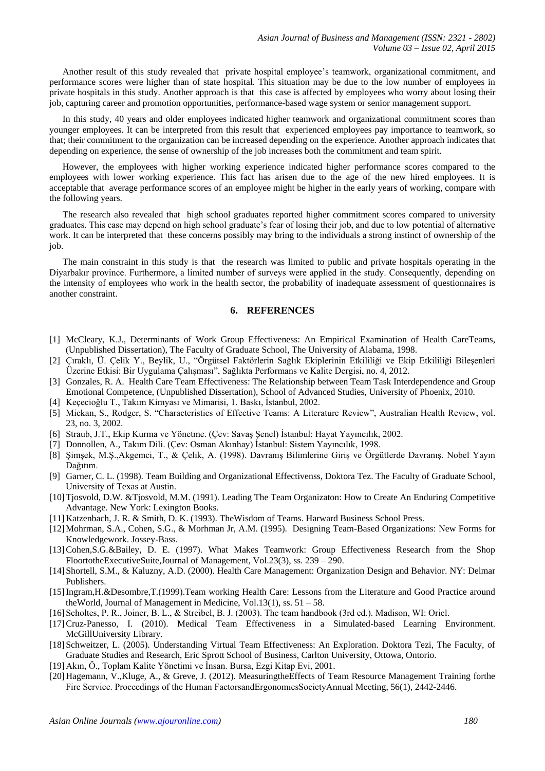Another result of this study revealed that private hospital employee's teamwork, organizational commitment, and performance scores were higher than of state hospital. This situation may be due to the low number of employees in private hospitals in this study. Another approach is that this case is affected by employees who worry about losing their job, capturing career and promotion opportunities, performance-based wage system or senior management support.

In this study, 40 years and older employees indicated higher teamwork and organizational commitment scores than younger employees. It can be interpreted from this result that experienced employees pay importance to teamwork, so that; their commitment to the organization can be increased depending on the experience. Another approach indicates that depending on experience, the sense of ownership of the job increases both the commitment and team spirit.

However, the employees with higher working experience indicated higher performance scores compared to the employees with lower working experience. This fact has arisen due to the age of the new hired employees. It is acceptable that average performance scores of an employee might be higher in the early years of working, compare with the following years.

The research also revealed that high school graduates reported higher commitment scores compared to university graduates. This case may depend on high school graduate's fear of losing their job, and due to low potential of alternative work. It can be interpreted that these concerns possibly may bring to the individuals a strong instinct of ownership of the job.

The main constraint in this study is that the research was limited to public and private hospitals operating in the Diyarbakır province. Furthermore, a limited number of surveys were applied in the study. Consequently, depending on the intensity of employees who work in the health sector, the probability of inadequate assessment of questionnaires is another constraint.

## **6. REFERENCES**

- [1] McCleary, K.J., Determinants of Work Group Effectiveness: An Empirical Examination of Health CareTeams, (Unpublished Dissertation), The Faculty of Graduate School, The University of Alabama, 1998.
- [2] Çıraklı, Ü. Çelik Y., Beylik, U., "Örgütsel Faktörlerin Sağlık Ekiplerinin Etkililiği ve Ekip Etkililiği Bileşenleri Üzerine Etkisi: Bir Uygulama Çalışması", Sağlıkta Performans ve Kalite Dergisi, no. 4, 2012.
- [3] Gonzales, R. A. Health Care Team Effectiveness: The Relationship between Team Task Interdependence and Group Emotional Competence, (Unpublished Dissertation), School of Advanced Studies, University of Phoenix, 2010.
- [4] Keçecioğlu T., Takım Kimyası ve Mimarisi, 1. Baskı, İstanbul, 2002.
- [5] Mickan, S., Rodger, S. "Characteristics of Effective Teams: A Literature Review", Australian Health Review, vol. 23, no. 3, 2002.
- [6] Straub, J.T., Ekip Kurma ve Yönetme. (Çev: Savaş Şenel) İstanbul: Hayat Yayıncılık, 2002.
- [7] Donnollen, A., Takım Dili. (Çev: Osman Akınhay) İstanbul: Sistem Yayıncılık, 1998.
- [8] Şimşek, M.Ş.,Akgemci, T., & Çelik, A. (1998). Davranış Bilimlerine Giriş ve Örgütlerde Davranış. Nobel Yayın Dağıtım.
- [9] Garner, C. L. (1998). Team Building and Organizational Effectivenss, Doktora Tez. The Faculty of Graduate School, University of Texas at Austin.
- [10]Tjosvold, D.W. &Tjosvold, M.M. (1991). Leading The Team Organizaton: How to Create An Enduring Competitive Advantage. New York: Lexington Books.
- [11]Katzenbach, J. R. & Smith, D. K. (1993). TheWisdom of Teams. Harward Business School Press.
- [12]Mohrman, S.A., Cohen, S.G., & Morhman Jr, A.M. (1995). Designing Team-Based Organizations: New Forms for Knowledgework. Jossey-Bass.
- [13]Cohen,S.G.&Bailey, D. E. (1997). What Makes Teamwork: Group Effectiveness Research from the Shop FloortotheExecutiveSuite,Journal of Management, Vol.23(3), ss. 239 – 290.
- [14]Shortell, S.M., & Kaluzny, A.D. (2000). Health Care Management: Organization Design and Behavior. NY: Delmar Publishers.
- [15]Ingram,H.&Desombre,T.(1999).Team working Health Care: Lessons from the Literature and Good Practice around theWorld, Journal of Management in Medicine, Vol.13(1), ss.  $51 - 58$ .
- [16] [Scholtes, P. R., Joiner, B. L., & Streibel, B. J. \(2003\). The team handbook \(3rd ed.\). Madison, WI: Oriel.](http://www.bibme.org/book)
- [17]Cruz-Panesso, I. (2010). Medical Team Effectiveness in a Simulated-based Learning Environment. McGillUniversity Library.
- [18] Schweitzer, L. (2005). Understanding Virtual Team Effectiveness: An Exploration. Doktora Tezi, The Faculty, of Graduate Studies and Research, Eric Sprott School of Business, Carlton University, Ottowa, Ontorio.
- [19]Akın, Ö., Toplam Kalite Yönetimi ve İnsan. Bursa, Ezgi Kitap Evi, 2001.
- [20]Hagemann, V.,Kluge, A., & Greve, J. (2012). MeasuringtheEffects of Team Resource Management Training forthe Fire Service. Proceedings of the Human FactorsandErgonomıcsSocietyAnnual Meeting, 56(1), 2442-2446.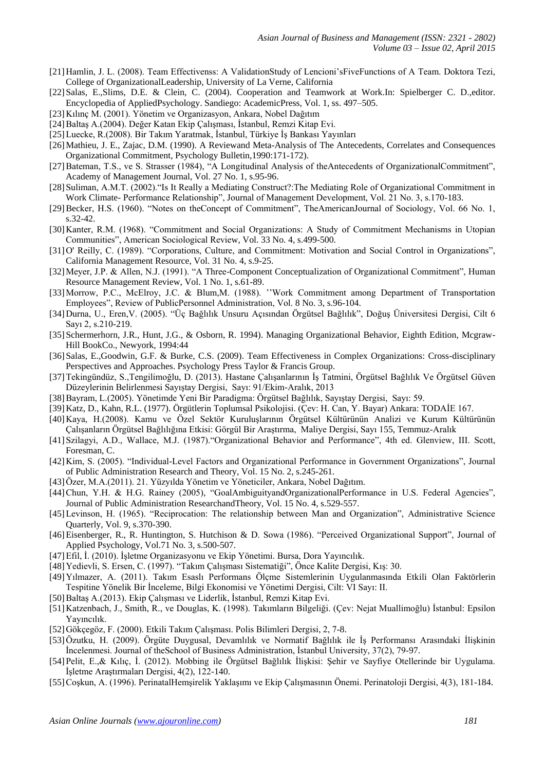- [21]Hamlin, J. L. (2008). Team Effectivenss: A ValidationStudy of Lencioni'sFiveFunctions of A Team. Doktora Tezi, College of OrganizationalLeadership, University of La Verne, California
- [22] Salas, E., Slims, D.E. & Clein, C. (2004). Cooperation and Teamwork at Work.In: Spielberger C. D., editor. Encyclopedia of AppliedPsychology. Sandiego: AcademicPress, Vol. 1, ss. 497–505.
- [23]Kılınç M. (2001). Yönetim ve Organizasyon, Ankara, Nobel Dağıtım
- [24]Baltaş A.(2004). Değer Katan Ekip Çalışması, İstanbul, Remzi Kitap Evi.
- [25]Luecke, R.(2008). Bir Takım Yaratmak, İstanbul, Türkiye İş Bankası Yayınları
- [26]Mathieu, J. E., Zajac, D.M. (1990). A Reviewand Meta-Analysis of The Antecedents, Correlates and Consequences Organizational Commitment, Psychology Bulletin,1990:171-172).
- [27] Bateman, T.S., ve S. Strasser (1984), "A Longitudinal Analysis of theAntecedents of OrganizationalCommitment", Academy of Management Journal, Vol. 27 No. 1, s.95-96.
- [28]Suliman, A.M.T. (2002)."Is It Really a Mediating Construct?:The Mediating Role of Organizational Commitment in Work Climate- Performance Relationship", Journal of Management Development, Vol. 21 No. 3, s.170-183.
- [29]Becker, H.S. (1960). "Notes on theConcept of Commitment", TheAmericanJournal of Sociology, Vol. 66 No. 1, s.32-42.
- [30]Kanter, R.M. (1968). "Commitment and Social Organizations: A Study of Commitment Mechanisms in Utopian Communities", American Sociological Review, Vol. 33 No. 4, s.499-500.
- [31]O' Reilly, C. (1989). "Corporations, Culture, and Commitment: Motivation and Social Control in Organizations", California Management Resource, Vol. 31 No. 4, s.9-25.
- [32] Meyer, J.P. & Allen, N.J. (1991). "A Three-Component Conceptualization of Organizational Commitment", Human Resource Management Review, Vol. 1 No. 1, s.61-89.
- [33]Morrow, P.C., McElroy, J.C. & Blum,M. (1988). ''Work Commitment among Department of Transportation Employees", Review of PublicPersonnel Administration, Vol. 8 No. 3, s.96-104.
- [34]Durna, U., Eren,V. (2005). "Üç Bağlılık Unsuru Açısından Örgütsel Bağlılık", Doğuş Üniversitesi Dergisi, Cilt 6 Sayı 2, s.210-219.
- [35] Schermerhorn, J.R., Hunt, J.G., & Osborn, R. 1994). Managing Organizational Behavior, Eighth Edition, Mcgraw-Hill BookCo., Newyork, 1994:44
- [36]Salas, E.,Goodwin, G.F. & Burke, C.S. (2009). Team Effectiveness in Complex Organizations: Cross-disciplinary Perspectives and Approaches. Psychology Press Taylor & Francis Group.
- [37]Tekingündüz, S.,Tengilimoğlu, D. (2013). Hastane Çalışanlarının İş Tatmini, Örgütsel Bağlılık Ve Örgütsel Güven Düzeylerinin Belirlenmesi Sayıştay Dergisi, Sayı: 91/Ekim-Aralık, 2013
- [38]Bayram, L.(2005). Yönetimde Yeni Bir Paradigma: Örgütsel Bağlılık, Sayıştay Dergisi, Sayı: 59.
- [39]Katz, D., Kahn, R.L. (1977). Örgütlerin Toplumsal Psikolojisi. (Çev: H. Can, Y. Bayar) Ankara: TODAİE 167.
- [40]Kaya, H.(2008). Kamu ve Özel Sektör Kuruluşlarının Örgütsel Kültürünün Analizi ve Kurum Kültürünün Çalışanların Örgütsel Bağlılığına Etkisi: Görgül Bir Araştırma, Maliye Dergisi, Sayı 155, Temmuz-Aralık
- [41]Szilagyi, A.D., Wallace, M.J. (1987)."Organizational Behavior and Performance", 4th ed. Glenview, III. Scott, Foresman, C.
- [42]Kim, S. (2005). "Individual-Level Factors and Organizational Performance in Government Organizations", Journal of Public Administration Research and Theory, Vol. 15 No. 2, s.245-261.
- [43]Özer, M.A.(2011). 21. Yüzyılda Yönetim ve Yöneticiler, Ankara, Nobel Dağıtım.
- [44]Chun, Y.H. & H.G. Rainey (2005), "GoalAmbiguityandOrganizationalPerformance in U.S. Federal Agencies", Journal of Public Administration ResearchandTheory, Vol. 15 No. 4, s.529-557.
- [45]Levinson, H. (1965). "Reciprocation: The relationship between Man and Organization", Administrative Science Quarterly, Vol. 9, s.370-390.
- [46] Eisenberger, R., R. Huntington, S. Hutchison & D. Sowa (1986). "Perceived Organizational Support", Journal of Applied Psychology, Vol.71 No. 3, s.500-507.
- [47]Efil, İ. (2010). İşletme Organizasyonu ve Ekip Yönetimi. Bursa, Dora Yayıncılık.
- [48]Yedievli, S. Ersen, C. (1997). "Takım Çalışması Sistematiği", Önce Kalite Dergisi, Kış: 30.
- [49]Yılmazer, A. (2011). Takım Esaslı Performans Ölçme Sistemlerinin Uygulanmasında Etkili Olan Faktörlerin Tespitine Yönelik Bir İnceleme, Bilgi Ekonomisi ve Yönetimi Dergisi, Cilt: VI Sayı: II.
- [50]Baltaş A.(2013). Ekip Çalışması ve Liderlik, İstanbul, Remzi Kitap Evi.
- [51]Katzenbach, J., Smith, R., ve Douglas, K. (1998). Takımların Bilgeliği. (Çev: Nejat Muallimoğlu) İstanbul: Epsilon Yayıncılık.
- [52]Gökçegöz, F. (2000). Etkili Takım Çalışması. Polis Bilimleri Dergisi, 2, 7-8.
- [53]Özutku, H. (2009). Örgüte Duygusal, Devamlılık ve Normatif Bağlılık ile İş Performansı Arasındaki İlişkinin İncelenmesi. Journal of theSchool of Business Administration, İstanbul University, 37(2), 79-97.
- [54]Pelit, E.,& Kılıç, İ. (2012). Mobbing ile Örgütsel Bağlılık İlişkisi: Şehir ve Sayfiye Otellerinde bir Uygulama. İşletme Araştırmaları Dergisi, 4(2), 122-140.
- [55]Coşkun, A. (1996). PerinatalHemşirelik Yaklaşımı ve Ekip Çalışmasının Önemi. Perinatoloji Dergisi, 4(3), 181-184.